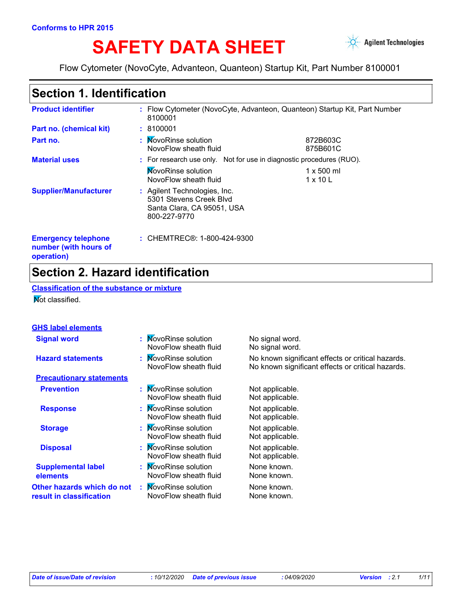# SAFETY DATA SHEET **Agilent Technologies**



Flow Cytometer (NovoCyte, Advanteon, Quanteon) Startup Kit, Part Number 8100001

# **Section 1. Identification**

| <b>Product identifier</b>                                         | 8100001                                                                                               | : Flow Cytometer (NovoCyte, Advanteon, Quanteon) Startup Kit, Part Number |  |  |
|-------------------------------------------------------------------|-------------------------------------------------------------------------------------------------------|---------------------------------------------------------------------------|--|--|
| Part no. (chemical kit)                                           | : 8100001                                                                                             |                                                                           |  |  |
| Part no.                                                          | : MovoRinse solution<br>NovoFlow sheath fluid                                                         | 872B603C<br>875B601C                                                      |  |  |
| <b>Material uses</b>                                              |                                                                                                       | : For research use only. Not for use in diagnostic procedures (RUO).      |  |  |
|                                                                   | <b>NovoRinse solution</b><br>NovoFlow sheath fluid                                                    | $1 \times 500$ ml<br>$1 \times 10$ L                                      |  |  |
| <b>Supplier/Manufacturer</b>                                      | : Agilent Technologies, Inc.<br>5301 Stevens Creek Blvd<br>Santa Clara, CA 95051, USA<br>800-227-9770 |                                                                           |  |  |
| <b>Emergency telephone</b><br>number (with hours of<br>operation) | : CHEMTREC®: 1-800-424-9300                                                                           |                                                                           |  |  |

## **Section 2. Hazard identification**

**Classification of the substance or mixture Not classified.** 

#### **GHS label elements**

| <b>Signal word</b>                                     | : MovoRinse solution<br>NovoFlow sheath fluid | No signal word.<br>No signal word.                                                                     |
|--------------------------------------------------------|-----------------------------------------------|--------------------------------------------------------------------------------------------------------|
| <b>Hazard statements</b>                               | : MovoRinse solution<br>NovoFlow sheath fluid | No known significant effects or critical hazards.<br>No known significant effects or critical hazards. |
| <b>Precautionary statements</b>                        |                                               |                                                                                                        |
| <b>Prevention</b>                                      | : MovoRinse solution<br>NovoFlow sheath fluid | Not applicable.<br>Not applicable.                                                                     |
| <b>Response</b>                                        | : MovoRinse solution<br>NovoFlow sheath fluid | Not applicable.<br>Not applicable.                                                                     |
| <b>Storage</b>                                         | : MovoRinse solution<br>NovoFlow sheath fluid | Not applicable.<br>Not applicable.                                                                     |
| <b>Disposal</b>                                        | : MovoRinse solution<br>NovoFlow sheath fluid | Not applicable.<br>Not applicable.                                                                     |
| <b>Supplemental label</b><br>elements                  | : MovoRinse solution<br>NovoFlow sheath fluid | None known.<br>None known.                                                                             |
| Other hazards which do not<br>result in classification | : MovoRinse solution<br>NovoFlow sheath fluid | None known.<br>None known.                                                                             |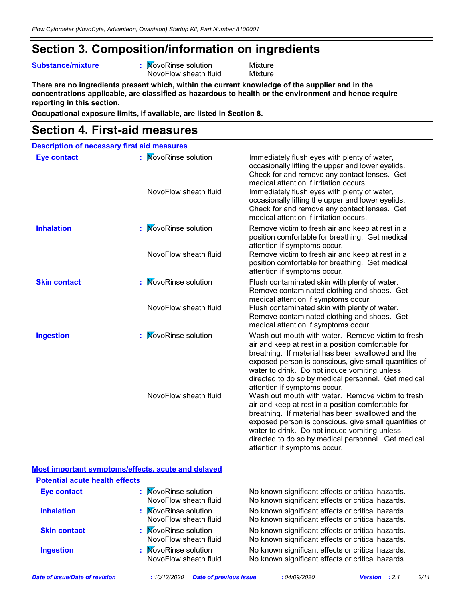### **Section 3. Composition/information on ingredients**

#### **Substance/mixture :**

: MovoRinse solution Mixture NovoFlow sheath fluid Mixture

**There are no ingredients present which, within the current knowledge of the supplier and in the concentrations applicable, are classified as hazardous to health or the environment and hence require reporting in this section.**

**Occupational exposure limits, if available, are listed in Section 8.**

### **Section 4. First-aid measures**

|                     | <b>Description of necessary first aid measures</b> |                                                                                                                                                                                                                                                                                                                                                                                                                                                                                                                                                                                                                                                                                                |
|---------------------|----------------------------------------------------|------------------------------------------------------------------------------------------------------------------------------------------------------------------------------------------------------------------------------------------------------------------------------------------------------------------------------------------------------------------------------------------------------------------------------------------------------------------------------------------------------------------------------------------------------------------------------------------------------------------------------------------------------------------------------------------------|
| <b>Eye contact</b>  | : MovoRinse solution<br>NovoFlow sheath fluid      | Immediately flush eyes with plenty of water,<br>occasionally lifting the upper and lower eyelids.<br>Check for and remove any contact lenses. Get<br>medical attention if irritation occurs.<br>Immediately flush eyes with plenty of water,<br>occasionally lifting the upper and lower eyelids.<br>Check for and remove any contact lenses. Get<br>medical attention if irritation occurs.                                                                                                                                                                                                                                                                                                   |
| <b>Inhalation</b>   | : MovoRinse solution<br>NovoFlow sheath fluid      | Remove victim to fresh air and keep at rest in a<br>position comfortable for breathing. Get medical<br>attention if symptoms occur.<br>Remove victim to fresh air and keep at rest in a<br>position comfortable for breathing. Get medical<br>attention if symptoms occur.                                                                                                                                                                                                                                                                                                                                                                                                                     |
| <b>Skin contact</b> | : MovoRinse solution<br>NovoFlow sheath fluid      | Flush contaminated skin with plenty of water.<br>Remove contaminated clothing and shoes. Get<br>medical attention if symptoms occur.<br>Flush contaminated skin with plenty of water.<br>Remove contaminated clothing and shoes. Get<br>medical attention if symptoms occur.                                                                                                                                                                                                                                                                                                                                                                                                                   |
| <b>Ingestion</b>    | : MovoRinse solution<br>NovoFlow sheath fluid      | Wash out mouth with water. Remove victim to fresh<br>air and keep at rest in a position comfortable for<br>breathing. If material has been swallowed and the<br>exposed person is conscious, give small quantities of<br>water to drink. Do not induce vomiting unless<br>directed to do so by medical personnel. Get medical<br>attention if symptoms occur.<br>Wash out mouth with water. Remove victim to fresh<br>air and keep at rest in a position comfortable for<br>breathing. If material has been swallowed and the<br>exposed person is conscious, give small quantities of<br>water to drink. Do not induce vomiting unless<br>directed to do so by medical personnel. Get medical |

#### **Most important symptoms/effects, acute and delayed Potential acute health effects**

| <b>Eye contact</b>  | : MovoRinse solution<br>NovoFlow sheath fluid | No known significant effects or critical hazards.<br>No known significant effects or critical hazards. |
|---------------------|-----------------------------------------------|--------------------------------------------------------------------------------------------------------|
| <b>Inhalation</b>   | : MovoRinse solution<br>NovoFlow sheath fluid | No known significant effects or critical hazards.<br>No known significant effects or critical hazards. |
| <b>Skin contact</b> | : MovoRinse solution<br>NovoFlow sheath fluid | No known significant effects or critical hazards.<br>No known significant effects or critical hazards. |
| <b>Ingestion</b>    | : MovoRinse solution<br>NovoFlow sheath fluid | No known significant effects or critical hazards.<br>No known significant effects or critical hazards. |

attention if symptoms occur.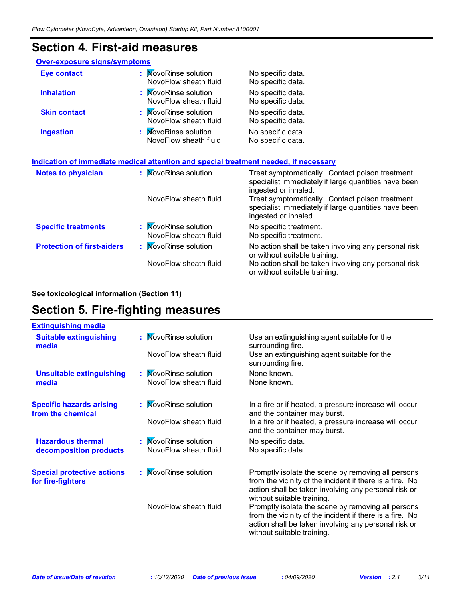### **Section 4. First-aid measures**

| <b>Over-exposure signs/symptoms</b> |                                                                                      |                                                                                                                                 |
|-------------------------------------|--------------------------------------------------------------------------------------|---------------------------------------------------------------------------------------------------------------------------------|
| <b>Eye contact</b>                  | : MovoRinse solution<br>NovoFlow sheath fluid                                        | No specific data.<br>No specific data.                                                                                          |
| <b>Inhalation</b>                   | : MovoRinse solution<br>NovoFlow sheath fluid                                        | No specific data.<br>No specific data.                                                                                          |
| <b>Skin contact</b>                 | : MovoRinse solution<br>NovoFlow sheath fluid                                        | No specific data.<br>No specific data.                                                                                          |
| <b>Ingestion</b>                    | : MovoRinse solution<br>NovoFlow sheath fluid                                        | No specific data.<br>No specific data.                                                                                          |
|                                     | Indication of immediate medical attention and special treatment needed, if necessary |                                                                                                                                 |
| <b>Notes to physician</b>           | : MovoRinse solution                                                                 | Treat symptomatically. Contact poison treatment<br>specialist immediately if large quantities have been<br>ingested or inhaled. |
|                                     | NovoFlow sheath fluid                                                                | Treat symptomatically. Contact poison treatment<br>specialist immediately if large quantities have been<br>ingested or inhaled. |
| <b>Specific treatments</b>          | : MovoRinse solution                                                                 | No specific treatment.                                                                                                          |

**Protection of first-aiders** : MovoRinse solution No action shall be taken involving any personal risk or without suitable training. NovoFlow sheath fluid No action shall be taken involving any personal risk or without suitable training. NovoFlow sheath fluid No specific treatment.

#### **See toxicological information (Section 11)**

## **Section 5. Fire-fighting measures**

| <b>Extinguishing media</b>                             |                       |                                                                                                                                                                                                      |
|--------------------------------------------------------|-----------------------|------------------------------------------------------------------------------------------------------------------------------------------------------------------------------------------------------|
| <b>Suitable extinguishing</b><br>media                 | : MovoRinse solution  | Use an extinguishing agent suitable for the<br>surrounding fire.                                                                                                                                     |
|                                                        | NovoFlow sheath fluid | Use an extinguishing agent suitable for the<br>surrounding fire.                                                                                                                                     |
| <b>Unsuitable extinguishing</b>                        | : MovoRinse solution  | None known.                                                                                                                                                                                          |
| media                                                  | NovoFlow sheath fluid | None known.                                                                                                                                                                                          |
| <b>Specific hazards arising</b><br>from the chemical   | : MovoRinse solution  | In a fire or if heated, a pressure increase will occur<br>and the container may burst.                                                                                                               |
|                                                        | NovoFlow sheath fluid | In a fire or if heated, a pressure increase will occur<br>and the container may burst.                                                                                                               |
| <b>Hazardous thermal</b>                               | : MovoRinse solution  | No specific data.                                                                                                                                                                                    |
| decomposition products                                 | NovoFlow sheath fluid | No specific data.                                                                                                                                                                                    |
| <b>Special protective actions</b><br>for fire-fighters | : MovoRinse solution  | Promptly isolate the scene by removing all persons<br>from the vicinity of the incident if there is a fire. No<br>action shall be taken involving any personal risk or<br>without suitable training. |
|                                                        | NovoFlow sheath fluid | Promptly isolate the scene by removing all persons<br>from the vicinity of the incident if there is a fire. No<br>action shall be taken involving any personal risk or<br>without suitable training. |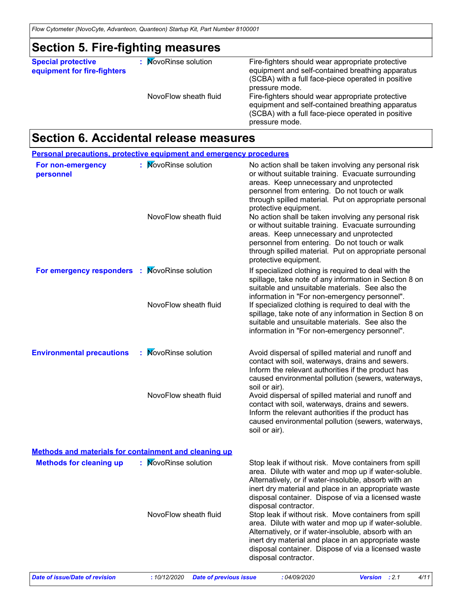### **Section 5. Fire-fighting measures**

**Special protective equipment for fire-fighters** **:** MovoRinse solution

Fire-fighters should wear appropriate protective equipment and self-contained breathing apparatus (SCBA) with a full face-piece operated in positive pressure mode. NovoFlow sheath fluid Fire-fighters should wear appropriate protective equipment and self-contained breathing apparatus

(SCBA) with a full face-piece operated in positive pressure mode.

### **Section 6. Accidental release measures**

| For non-emergency<br>personnel                               | : MovoRinse solution      | No action shall be taken involving any personal risk<br>or without suitable training. Evacuate surrounding<br>areas. Keep unnecessary and unprotected<br>personnel from entering. Do not touch or walk<br>through spilled material. Put on appropriate personal                                                                      |
|--------------------------------------------------------------|---------------------------|--------------------------------------------------------------------------------------------------------------------------------------------------------------------------------------------------------------------------------------------------------------------------------------------------------------------------------------|
|                                                              | NovoFlow sheath fluid     | protective equipment.<br>No action shall be taken involving any personal risk<br>or without suitable training. Evacuate surrounding<br>areas. Keep unnecessary and unprotected<br>personnel from entering. Do not touch or walk<br>through spilled material. Put on appropriate personal<br>protective equipment.                    |
| For emergency responders : MovoRinse solution                | NovoFlow sheath fluid     | If specialized clothing is required to deal with the<br>spillage, take note of any information in Section 8 on<br>suitable and unsuitable materials. See also the<br>information in "For non-emergency personnel".<br>If specialized clothing is required to deal with the<br>spillage, take note of any information in Section 8 on |
|                                                              |                           | suitable and unsuitable materials. See also the<br>information in "For non-emergency personnel".                                                                                                                                                                                                                                     |
| <b>Environmental precautions</b>                             | : MovoRinse solution      | Avoid dispersal of spilled material and runoff and<br>contact with soil, waterways, drains and sewers.<br>Inform the relevant authorities if the product has<br>caused environmental pollution (sewers, waterways,<br>soil or air).                                                                                                  |
|                                                              | NovoFlow sheath fluid     | Avoid dispersal of spilled material and runoff and<br>contact with soil, waterways, drains and sewers.<br>Inform the relevant authorities if the product has<br>caused environmental pollution (sewers, waterways,<br>soil or air).                                                                                                  |
| <b>Methods and materials for containment and cleaning up</b> |                           |                                                                                                                                                                                                                                                                                                                                      |
| <b>Methods for cleaning up</b>                               | <b>NovoRinse solution</b> | Stop leak if without risk. Move containers from spill<br>area. Dilute with water and mop up if water-soluble.<br>Alternatively, or if water-insoluble, absorb with an<br>inert dry material and place in an appropriate waste<br>disposal container. Dispose of via a licensed waste<br>disposal contractor.                         |
|                                                              | NovoFlow sheath fluid     | Stop leak if without risk. Move containers from spill<br>area. Dilute with water and mop up if water-soluble.<br>Alternatively, or if water-insoluble, absorb with an<br>inert dry material and place in an appropriate waste<br>disposal container. Dispose of via a licensed waste<br>disposal contractor.                         |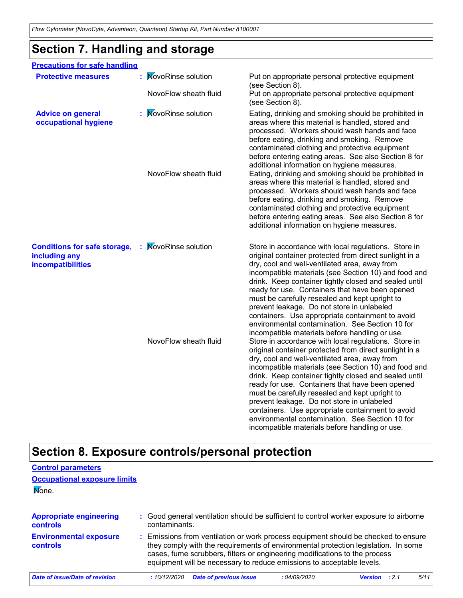# **Section 7. Handling and storage**

| <b>Precautions for safe handling</b>                                      |                                                    |                                                                                                                                                                                                                                                                                                                                                                                                                                                                                                                                                                                                                                                |
|---------------------------------------------------------------------------|----------------------------------------------------|------------------------------------------------------------------------------------------------------------------------------------------------------------------------------------------------------------------------------------------------------------------------------------------------------------------------------------------------------------------------------------------------------------------------------------------------------------------------------------------------------------------------------------------------------------------------------------------------------------------------------------------------|
| <b>Protective measures</b>                                                | <b>NovoRinse solution</b><br>NovoFlow sheath fluid | Put on appropriate personal protective equipment<br>(see Section 8).<br>Put on appropriate personal protective equipment                                                                                                                                                                                                                                                                                                                                                                                                                                                                                                                       |
|                                                                           |                                                    | (see Section 8).                                                                                                                                                                                                                                                                                                                                                                                                                                                                                                                                                                                                                               |
| <b>Advice on general</b><br>occupational hygiene                          | : MovoRinse solution                               | Eating, drinking and smoking should be prohibited in<br>areas where this material is handled, stored and<br>processed. Workers should wash hands and face<br>before eating, drinking and smoking. Remove<br>contaminated clothing and protective equipment<br>before entering eating areas. See also Section 8 for<br>additional information on hygiene measures.                                                                                                                                                                                                                                                                              |
|                                                                           | NovoFlow sheath fluid                              | Eating, drinking and smoking should be prohibited in<br>areas where this material is handled, stored and<br>processed. Workers should wash hands and face<br>before eating, drinking and smoking. Remove<br>contaminated clothing and protective equipment<br>before entering eating areas. See also Section 8 for<br>additional information on hygiene measures.                                                                                                                                                                                                                                                                              |
| <b>Conditions for safe storage,</b><br>including any<br>incompatibilities | : MovoRinse solution                               | Store in accordance with local regulations. Store in<br>original container protected from direct sunlight in a<br>dry, cool and well-ventilated area, away from<br>incompatible materials (see Section 10) and food and<br>drink. Keep container tightly closed and sealed until<br>ready for use. Containers that have been opened<br>must be carefully resealed and kept upright to<br>prevent leakage. Do not store in unlabeled<br>containers. Use appropriate containment to avoid<br>environmental contamination. See Section 10 for                                                                                                     |
|                                                                           | NovoFlow sheath fluid                              | incompatible materials before handling or use.<br>Store in accordance with local regulations. Store in<br>original container protected from direct sunlight in a<br>dry, cool and well-ventilated area, away from<br>incompatible materials (see Section 10) and food and<br>drink. Keep container tightly closed and sealed until<br>ready for use. Containers that have been opened<br>must be carefully resealed and kept upright to<br>prevent leakage. Do not store in unlabeled<br>containers. Use appropriate containment to avoid<br>environmental contamination. See Section 10 for<br>incompatible materials before handling or use. |

# **Section 8. Exposure controls/personal protection**

| <b>Control parameters</b>                         |               |                                                                                                                                                                                                                                                                                                                                 |             |         |       |      |
|---------------------------------------------------|---------------|---------------------------------------------------------------------------------------------------------------------------------------------------------------------------------------------------------------------------------------------------------------------------------------------------------------------------------|-------------|---------|-------|------|
| <b>Occupational exposure limits</b>               |               |                                                                                                                                                                                                                                                                                                                                 |             |         |       |      |
| Mone.                                             |               |                                                                                                                                                                                                                                                                                                                                 |             |         |       |      |
| <b>Appropriate engineering</b><br><b>controls</b> | contaminants. | : Good general ventilation should be sufficient to control worker exposure to airborne                                                                                                                                                                                                                                          |             |         |       |      |
| <b>Environmental exposure</b><br>controls         |               | : Emissions from ventilation or work process equipment should be checked to ensure<br>they comply with the requirements of environmental protection legislation. In some<br>cases, fume scrubbers, filters or engineering modifications to the process<br>equipment will be necessary to reduce emissions to acceptable levels. |             |         |       |      |
| Date of issue/Date of revision                    | :10/12/2020   | <b>Date of previous issue</b>                                                                                                                                                                                                                                                                                                   | :04/09/2020 | Version | : 2.1 | 5/11 |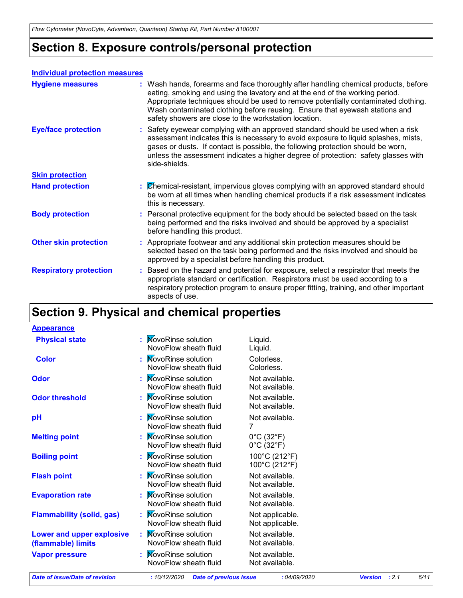# **Section 8. Exposure controls/personal protection**

#### **Individual protection measures**

| <b>Hygiene measures</b>       | : Wash hands, forearms and face thoroughly after handling chemical products, before<br>eating, smoking and using the lavatory and at the end of the working period.<br>Appropriate techniques should be used to remove potentially contaminated clothing.<br>Wash contaminated clothing before reusing. Ensure that eyewash stations and<br>safety showers are close to the workstation location. |
|-------------------------------|---------------------------------------------------------------------------------------------------------------------------------------------------------------------------------------------------------------------------------------------------------------------------------------------------------------------------------------------------------------------------------------------------|
| <b>Eye/face protection</b>    | : Safety eyewear complying with an approved standard should be used when a risk<br>assessment indicates this is necessary to avoid exposure to liquid splashes, mists,<br>gases or dusts. If contact is possible, the following protection should be worn,<br>unless the assessment indicates a higher degree of protection: safety glasses with<br>side-shields.                                 |
| <b>Skin protection</b>        |                                                                                                                                                                                                                                                                                                                                                                                                   |
| <b>Hand protection</b>        | : Chemical-resistant, impervious gloves complying with an approved standard should<br>be worn at all times when handling chemical products if a risk assessment indicates<br>this is necessary.                                                                                                                                                                                                   |
| <b>Body protection</b>        | : Personal protective equipment for the body should be selected based on the task<br>being performed and the risks involved and should be approved by a specialist<br>before handling this product.                                                                                                                                                                                               |
| <b>Other skin protection</b>  | : Appropriate footwear and any additional skin protection measures should be<br>selected based on the task being performed and the risks involved and should be<br>approved by a specialist before handling this product.                                                                                                                                                                         |
| <b>Respiratory protection</b> | : Based on the hazard and potential for exposure, select a respirator that meets the<br>appropriate standard or certification. Respirators must be used according to a<br>respiratory protection program to ensure proper fitting, training, and other important<br>aspects of use.                                                                                                               |

# **Section 9. Physical and chemical properties**

**Appearance**

| <b>Physical state</b>                                  | : MovoRinse solution<br>NovoFlow sheath fluid            | Liquid.<br>Liquid.                                                 |
|--------------------------------------------------------|----------------------------------------------------------|--------------------------------------------------------------------|
| <b>Color</b>                                           | : MovoRinse solution<br>NovoFlow sheath fluid            | Colorless.<br>Colorless.                                           |
| Odor                                                   | : MovoRinse solution<br>NovoFlow sheath fluid            | Not available.<br>Not available.                                   |
| <b>Odor threshold</b>                                  | : MovoRinse solution<br>NovoFlow sheath fluid            | Not available.<br>Not available.                                   |
| рH                                                     | : MovoRinse solution<br>NovoFlow sheath fluid            | Not available.<br>7                                                |
| <b>Melting point</b>                                   | : MovoRinse solution<br>NovoFlow sheath fluid            | $0^{\circ}$ C (32 $^{\circ}$ F)<br>$0^{\circ}$ C (32 $^{\circ}$ F) |
| <b>Boiling point</b>                                   | : MovoRinse solution<br>NovoFlow sheath fluid            | 100°C (212°F)<br>100°C (212°F)                                     |
| <b>Flash point</b>                                     | : MovoRinse solution<br>NovoFlow sheath fluid            | Not available.<br>Not available.                                   |
| <b>Evaporation rate</b>                                | <b>NovoRinse solution</b><br>NovoFlow sheath fluid       | Not available.<br>Not available.                                   |
| <b>Flammability (solid, gas)</b>                       | : MovoRinse solution<br>NovoFlow sheath fluid            | Not applicable.<br>Not applicable.                                 |
| <b>Lower and upper explosive</b><br>(flammable) limits | <b>MovoRinse solution</b><br>t.<br>NovoFlow sheath fluid | Not available.<br>Not available.                                   |
| <b>Vapor pressure</b>                                  | <b>MovoRinse solution</b><br>NovoFlow sheath fluid       | Not available.<br>Not available.                                   |
|                                                        |                                                          |                                                                    |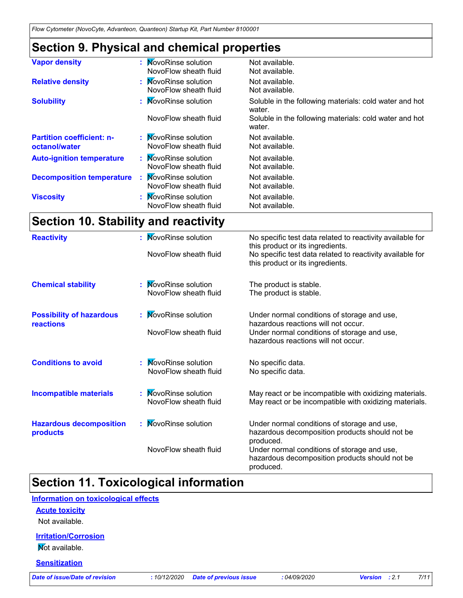# **Section 9. Physical and chemical properties**

| <b>Vapor density</b>                              | : MovoRinse solution<br>NovoFlow sheath fluid      | Not available.<br>Not available.                                 |
|---------------------------------------------------|----------------------------------------------------|------------------------------------------------------------------|
| <b>Relative density</b>                           | : MovoRinse solution<br>NovoFlow sheath fluid      | Not available.<br>Not available.                                 |
| <b>Solubility</b>                                 | : MovoRinse solution                               | Soluble in the following materials: cold water and hot<br>water. |
|                                                   | NovoFlow sheath fluid                              | Soluble in the following materials: cold water and hot<br>water. |
| <b>Partition coefficient: n-</b><br>octanol/water | : MovoRinse solution<br>NovoFlow sheath fluid      | Not available.<br>Not available.                                 |
| <b>Auto-ignition temperature</b>                  | : MovoRinse solution<br>NovoFlow sheath fluid      | Not available.<br>Not available.                                 |
| <b>Decomposition temperature</b>                  | <b>NovoRinse solution</b><br>NovoFlow sheath fluid | Not available.<br>Not available.                                 |
| <b>Viscosity</b>                                  | : MovoRinse solution<br>NovoFlow sheath fluid      | Not available.<br>Not available.                                 |
|                                                   |                                                    |                                                                  |

# **Section 10. Stability and reactivity**

| <b>Reactivity</b>                                   | : MovoRinse solution                               | No specific test data related to reactivity available for<br>this product or its ingredients.                    |
|-----------------------------------------------------|----------------------------------------------------|------------------------------------------------------------------------------------------------------------------|
|                                                     | NovoFlow sheath fluid                              | No specific test data related to reactivity available for<br>this product or its ingredients.                    |
| <b>Chemical stability</b>                           | <b>NovoRinse solution</b><br>NovoFlow sheath fluid | The product is stable.<br>The product is stable.                                                                 |
| <b>Possibility of hazardous</b><br><b>reactions</b> | : MovoRinse solution                               | Under normal conditions of storage and use,<br>hazardous reactions will not occur.                               |
|                                                     | NovoFlow sheath fluid                              | Under normal conditions of storage and use,<br>hazardous reactions will not occur.                               |
| <b>Conditions to avoid</b>                          | <b>NovoRinse solution</b><br>NovoFlow sheath fluid | No specific data.<br>No specific data.                                                                           |
| <b>Incompatible materials</b>                       | : MovoRinse solution<br>NovoFlow sheath fluid      | May react or be incompatible with oxidizing materials.<br>May react or be incompatible with oxidizing materials. |
| <b>Hazardous decomposition</b><br>products          | : MovoRinse solution                               | Under normal conditions of storage and use,<br>hazardous decomposition products should not be<br>produced.       |
|                                                     | NovoFlow sheath fluid                              | Under normal conditions of storage and use,<br>hazardous decomposition products should not be<br>produced.       |

# **Section 11. Toxicological information**

#### **Information on toxicological effects**

#### **Acute toxicity**

Not available.

#### **Irritation/Corrosion**

**Not available.** 

#### **Sensitization**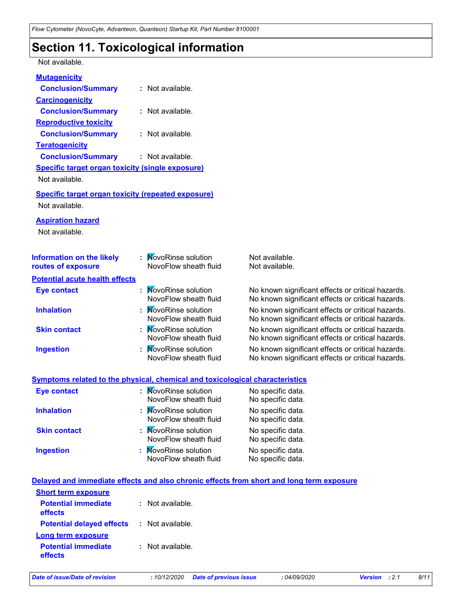### **Section 11. Toxicological information**

#### Not available.

| <b>Mutagenicity</b>                                                          |                                                    |                                                                                                        |
|------------------------------------------------------------------------------|----------------------------------------------------|--------------------------------------------------------------------------------------------------------|
| <b>Conclusion/Summary</b>                                                    | : Not available.                                   |                                                                                                        |
| <b>Carcinogenicity</b>                                                       |                                                    |                                                                                                        |
| <b>Conclusion/Summary</b>                                                    | $:$ Not available.                                 |                                                                                                        |
| <b>Reproductive toxicity</b>                                                 |                                                    |                                                                                                        |
| <b>Conclusion/Summary</b>                                                    | $:$ Not available.                                 |                                                                                                        |
| <b>Teratogenicity</b>                                                        |                                                    |                                                                                                        |
| <b>Conclusion/Summary</b>                                                    | $:$ Not available.                                 |                                                                                                        |
| <b>Specific target organ toxicity (single exposure)</b>                      |                                                    |                                                                                                        |
| Not available.                                                               |                                                    |                                                                                                        |
| <b>Specific target organ toxicity (repeated exposure)</b>                    |                                                    |                                                                                                        |
| Not available.                                                               |                                                    |                                                                                                        |
| <b>Aspiration hazard</b>                                                     |                                                    |                                                                                                        |
| Not available.                                                               |                                                    |                                                                                                        |
|                                                                              |                                                    |                                                                                                        |
| <b>Information on the likely</b>                                             | <b>NovoRinse solution</b>                          | Not available.                                                                                         |
| routes of exposure                                                           | NovoFlow sheath fluid                              | Not available.                                                                                         |
| <b>Potential acute health effects</b>                                        |                                                    |                                                                                                        |
| <b>Eye contact</b>                                                           | <b>NovoRinse solution</b>                          | No known significant effects or critical hazards.                                                      |
|                                                                              | NovoFlow sheath fluid                              | No known significant effects or critical hazards.                                                      |
| <b>Inhalation</b>                                                            | <b>NovoRinse solution</b>                          | No known significant effects or critical hazards.                                                      |
|                                                                              | NovoFlow sheath fluid                              | No known significant effects or critical hazards.                                                      |
| <b>Skin contact</b>                                                          | <b>NovoRinse solution</b><br>NovoFlow sheath fluid | No known significant effects or critical hazards.<br>No known significant effects or critical hazards. |
| <b>Ingestion</b>                                                             | <b>NovoRinse solution</b>                          | No known significant effects or critical hazards.                                                      |
|                                                                              | NovoFlow sheath fluid                              | No known significant effects or critical hazards.                                                      |
|                                                                              |                                                    |                                                                                                        |
| Symptoms related to the physical, chemical and toxicological characteristics |                                                    |                                                                                                        |
| <b>Eve contact</b>                                                           | <b>NovoRinse solution</b>                          | No specific data.                                                                                      |

| Eye contact         | : MovoRinse solution<br>NovoFlow sheath fluid | No specific data.<br>No specific data. |
|---------------------|-----------------------------------------------|----------------------------------------|
| <b>Inhalation</b>   | : MovoRinse solution<br>NovoFlow sheath fluid | No specific data.<br>No specific data. |
| <b>Skin contact</b> | : MovoRinse solution<br>NovoFlow sheath fluid | No specific data.<br>No specific data. |
| <b>Ingestion</b>    | : MovoRinse solution<br>NovoFlow sheath fluid | No specific data.<br>No specific data. |

#### **Delayed and immediate effects and also chronic effects from short and long term exposure**

| <b>Short term exposure</b>            |                    |
|---------------------------------------|--------------------|
| <b>Potential immediate</b><br>effects | $:$ Not available. |
| <b>Potential delayed effects</b>      | : Not available.   |
| <b>Long term exposure</b>             |                    |
| <b>Potential immediate</b><br>effects | $:$ Not available. |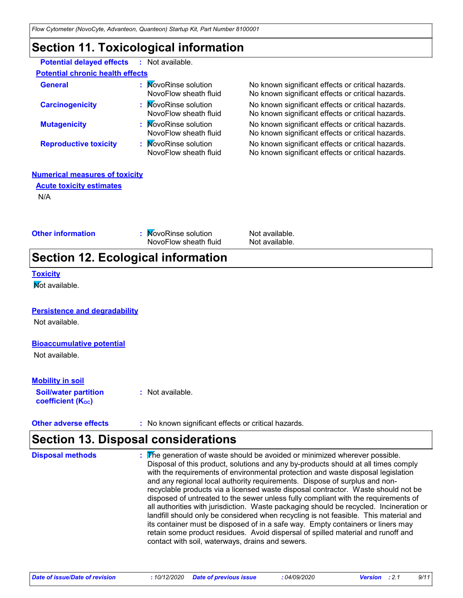### **Section 11. Toxicological information**

**Potential delayed effects :** Not available.

| <b>Potential chronic health effects</b> |                                                   |
|-----------------------------------------|---------------------------------------------------|
| : MovoRinse solution                    | No known significant effects or critical hazards. |
| NovoFlow sheath fluid                   | No known significant effects or critical hazards. |
| : MovoRinse solution                    | No known significant effects or critical hazards. |
| NovoFlow sheath fluid                   | No known significant effects or critical hazards. |
| : MovoRinse solution                    | No known significant effects or critical hazards. |
| NovoFlow sheath fluid                   | No known significant effects or critical hazards. |
| : MovoRinse solution                    | No known significant effects or critical hazards. |
| NovoFlow sheath fluid                   | No known significant effects or critical hazards. |
|                                         |                                                   |

#### **Numerical measures of toxicity**

**Acute toxicity estimates**

N/A

|                   | <b>Section 12. Ecological information</b>     |                                  |  |
|-------------------|-----------------------------------------------|----------------------------------|--|
| Other information | : MovoRinse solution<br>NovoFlow sheath fluid | Not available.<br>Not available. |  |

#### **Toxicity**

**Not available.** 

#### **Persistence and degradability**

Not available.

#### **Bioaccumulative potential**

Not available.

#### **Mobility in soil**

**Soil/water partition coefficient (KOC)**

**:** Not available.

#### **Other adverse effects** : No known significant effects or critical hazards.

# **Section 13. Disposal considerations**

| <b>Disposal methods</b> | : The generation of waste should be avoided or minimized wherever possible.<br>Disposal of this product, solutions and any by-products should at all times comply<br>with the requirements of environmental protection and waste disposal legislation<br>and any regional local authority requirements. Dispose of surplus and non-<br>recyclable products via a licensed waste disposal contractor. Waste should not be<br>disposed of untreated to the sewer unless fully compliant with the requirements of<br>all authorities with jurisdiction. Waste packaging should be recycled. Incineration or<br>landfill should only be considered when recycling is not feasible. This material and<br>its container must be disposed of in a safe way. Empty containers or liners may<br>retain some product residues. Avoid dispersal of spilled material and runoff and<br>contact with soil, waterways, drains and sewers. |
|-------------------------|-----------------------------------------------------------------------------------------------------------------------------------------------------------------------------------------------------------------------------------------------------------------------------------------------------------------------------------------------------------------------------------------------------------------------------------------------------------------------------------------------------------------------------------------------------------------------------------------------------------------------------------------------------------------------------------------------------------------------------------------------------------------------------------------------------------------------------------------------------------------------------------------------------------------------------|
|                         |                                                                                                                                                                                                                                                                                                                                                                                                                                                                                                                                                                                                                                                                                                                                                                                                                                                                                                                             |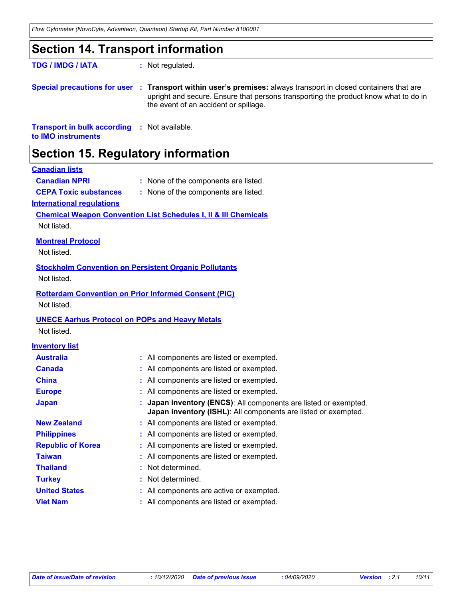### **Section 14. Transport information**

**TDG / IMDG / IATA :** Not regulated.

**Special precautions for user** : Transport within user's premises: always transport in closed containers that are upright and secure. Ensure that persons transporting the product know what to do in the event of an accident or spillage.

**Transport in bulk according :** Not available. **to IMO instruments**

### **Section 15. Regulatory information**

#### **Canadian lists**

| <b>Canadian NPRI</b>         | : None of the components are listed. |
|------------------------------|--------------------------------------|
| <b>CEPA Toxic substances</b> | : None of the components are listed. |
| nternational requisions.     |                                      |

#### **International regulations**

**Chemical Weapon Convention List Schedules I, II & III Chemicals**

Not listed.

#### **Montreal Protocol**

Not listed.

#### **Stockholm Convention on Persistent Organic Pollutants**

Not listed.

#### **Rotterdam Convention on Prior Informed Consent (PIC)** Not listed.

#### **UNECE Aarhus Protocol on POPs and Heavy Metals**

Not listed.

#### **Inventory list**

| <b>Australia</b>         | : All components are listed or exempted.                                                                                           |
|--------------------------|------------------------------------------------------------------------------------------------------------------------------------|
| Canada                   | : All components are listed or exempted.                                                                                           |
| <b>China</b>             | : All components are listed or exempted.                                                                                           |
| <b>Europe</b>            | : All components are listed or exempted.                                                                                           |
| <b>Japan</b>             | : Japan inventory (ENCS): All components are listed or exempted.<br>Japan inventory (ISHL): All components are listed or exempted. |
| <b>New Zealand</b>       | : All components are listed or exempted.                                                                                           |
| <b>Philippines</b>       | : All components are listed or exempted.                                                                                           |
| <b>Republic of Korea</b> | : All components are listed or exempted.                                                                                           |
| Taiwan                   | : All components are listed or exempted.                                                                                           |
| <b>Thailand</b>          | : Not determined.                                                                                                                  |
| <b>Turkey</b>            | : Not determined.                                                                                                                  |
| <b>United States</b>     | : All components are active or exempted.                                                                                           |
| <b>Viet Nam</b>          | : All components are listed or exempted.                                                                                           |